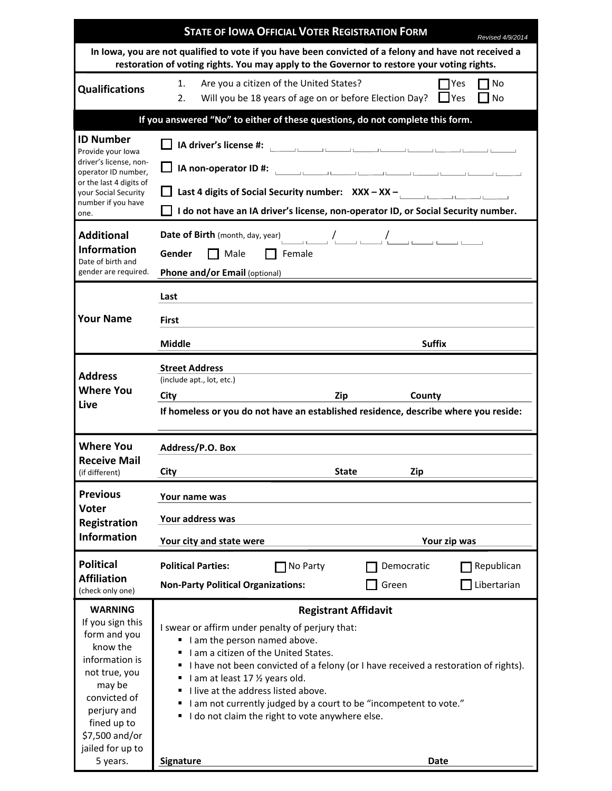|                                                                                                                                                                                                             | <b>STATE OF IOWA OFFICIAL VOTER REGISTRATION FORM</b>                                                                                                                                                                                                                                                                                                                                                                                                                           |                                                                      | Revised 4/9/2014          |
|-------------------------------------------------------------------------------------------------------------------------------------------------------------------------------------------------------------|---------------------------------------------------------------------------------------------------------------------------------------------------------------------------------------------------------------------------------------------------------------------------------------------------------------------------------------------------------------------------------------------------------------------------------------------------------------------------------|----------------------------------------------------------------------|---------------------------|
| In lowa, you are not qualified to vote if you have been convicted of a felony and have not received a<br>restoration of voting rights. You may apply to the Governor to restore your voting rights.         |                                                                                                                                                                                                                                                                                                                                                                                                                                                                                 |                                                                      |                           |
| <b>Qualifications</b>                                                                                                                                                                                       | Are you a citizen of the United States?<br>1.<br>2.<br>Will you be 18 years of age on or before Election Day?                                                                                                                                                                                                                                                                                                                                                                   | I IYes                                                               | Yes<br>No<br><b>No</b>    |
| If you answered "No" to either of these questions, do not complete this form.                                                                                                                               |                                                                                                                                                                                                                                                                                                                                                                                                                                                                                 |                                                                      |                           |
| <b>ID Number</b><br>Provide your lowa<br>driver's license, non-<br>operator ID number,<br>or the last 4 digits of<br>your Social Security<br>number if you have<br>one.                                     | IA driver's license #:<br>Last 4 digits of Social Security number: $XXX - XX -$<br>I do not have an IA driver's license, non-operator ID, or Social Security number.                                                                                                                                                                                                                                                                                                            | والمستنب والمستندر والمستندر والمستندر والمستندر والمستندر والمستندر |                           |
| <b>Additional</b><br><b>Information</b><br>Date of birth and<br>gender are required.                                                                                                                        | Date of Birth (month, day, year)<br>$\begin{picture}(160,170) \put(0,0){\line(1,0){150}} \put(150,0){\line(1,0){150}} \put(150,0){\line(1,0){150}} \put(150,0){\line(1,0){150}} \put(150,0){\line(1,0){150}} \put(150,0){\line(1,0){150}} \put(150,0){\line(1,0){150}} \put(150,0){\line(1,0){150}} \put(150,0){\line(1,0$<br>Gender<br>Male<br>$\Box$ Female<br>Phone and/or Email (optional)                                                                                  |                                                                      |                           |
| <b>Your Name</b>                                                                                                                                                                                            | Last<br>First<br>Middle                                                                                                                                                                                                                                                                                                                                                                                                                                                         | <b>Suffix</b>                                                        |                           |
| <b>Address</b><br><b>Where You</b><br>Live                                                                                                                                                                  | <b>Street Address</b><br>(include apt., lot, etc.)<br>City<br>Zip<br>County<br>If homeless or you do not have an established residence, describe where you reside:                                                                                                                                                                                                                                                                                                              |                                                                      |                           |
| <b>Where You</b><br><b>Receive Mail</b><br>(if different)                                                                                                                                                   | Address/P.O. Box<br>City<br><b>State</b><br>Zip                                                                                                                                                                                                                                                                                                                                                                                                                                 |                                                                      |                           |
| <b>Previous</b><br><b>Voter</b><br>Registration<br><b>Information</b>                                                                                                                                       | Your name was<br>Your address was<br>Your city and state were                                                                                                                                                                                                                                                                                                                                                                                                                   | Your zip was                                                         |                           |
| <b>Political</b><br><b>Affiliation</b><br>(check only one)                                                                                                                                                  | <b>Political Parties:</b><br>No Party<br><b>Non-Party Political Organizations:</b>                                                                                                                                                                                                                                                                                                                                                                                              | Democratic<br>Green                                                  | Republican<br>Libertarian |
| <b>WARNING</b><br>If you sign this<br>form and you<br>know the<br>information is<br>not true, you<br>may be<br>convicted of<br>perjury and<br>fined up to<br>\$7,500 and/or<br>jailed for up to<br>5 years. | <b>Registrant Affidavit</b><br>I swear or affirm under penalty of perjury that:<br>I am the person named above.<br>I am a citizen of the United States.<br>I have not been convicted of a felony (or I have received a restoration of rights).<br>I am at least 17 1/2 years old.<br>I live at the address listed above.<br>٠<br>I am not currently judged by a court to be "incompetent to vote."<br>٠<br>I do not claim the right to vote anywhere else.<br>Signature<br>Date |                                                                      |                           |